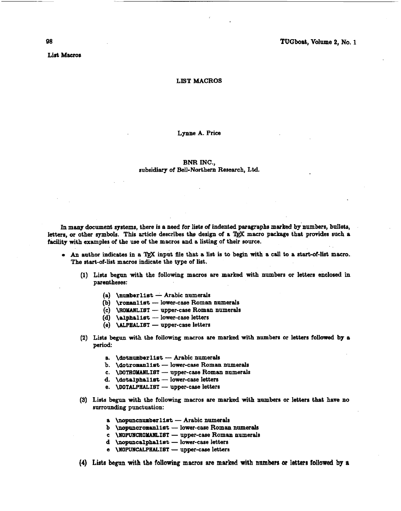## **LIST MACROS**

## Lynne A. Price

# **BNR INC.,**  subsidiary of Bell-Northern Research, Ltd.

In **many document** systems, there is a need for lists of indented paragraphs marked by numbers, bullets, letters, or other symbols. This article describes the design of a T<sub>E</sub>X macro package that provides such a facility with examples of the use of the macros **and** a listing of their source.

- . An author indicates in a TFX input file that a list is to begin with a call to a start-of-list macro. The start-of-list macros indicate the type of list.
	- (1) Lists begun with the following macros are marked with numbers or letters enclosed in parentheses:
		- **(a) \numberlist**  Arabic numerals
		- (b) **\rowlist**  lower-case **Roman** numerals
		- (a) **\numberlist Arabic numerals**<br>(b) **\romanlist lower-case Roman numerals**<br>(c) **\ROMANLIST upper-case Roman numerals**<br>(d) \rankalistic lower ages latters
		- (b) **\romanlist** lower-case Roman<br>(c) **\ROMANLIST** upper-case Roman<br>(d) **\alphalist** -- lower-case letters (d) **\alphalist** - lower-case letters<br>(e) **\ALPHALIST** - upper-case letters
		-
	- (2) Lists **begun** with the following macros are marked with numbers or letters followed by a period:
		- a. **\dotnumberlist** Arabic numerals
		- a. **\dotnumberlist** Arabic numerals<br>b. \dotromanlist lower-case Roman numerals d. **\dotromanlist** - lower-case Roman<br>c. **\DOTROMANLIST** - upper-case Roman<br>d. **\dotalphalist** - lower-case letters
		- a. **\dotnumberlist Arabic numerals**<br>b. **\dotromanlist lower-case Roman numerals**<br>c. **\DOTROMANLIST upper-case Roman numerals** c. **\DOTROMANLIST** -- upper-case Roman numerals<br>d. **\dotalphalist** -- lower-case letters<br>e. **\DOTALPHALIST** -- upper-case letters
		-
		-
	- (3) Lists **begun** with the following macros are marked with numbers or letters that have **no**  surrounding punctuation: unding punctuation:<br>a \nopuncnumberlist — Arabic numerals
		-
		- a<br>
		a \nopuncnumber1ist Arabic numerals<br>
		b \nopuncroman1ist lower-case Roman numerals a \mopuncnumberlist — Arabic numerals<br>b \nopuncromanlist — lower-case Roman numerals<br>c \NOPUNCROMANLIST — upper-case Roman numerals d<br>
		c \NOPUNCROMANLIST - lower-case Roman<br>
		d \nopuncalphalist - lower-case letters<br>
		d \nopuncalphalist - lower-case letters
		-
		-
		- c \NOPUNCROMANLIST upper-case Roman<br>d \nopuncalphalist lower-case letters<br>e \NOPUNCALPHALIST upper-case letters
	- **(4) Lists begun with the following macros we marked with numbers or** letter^ **followed by a**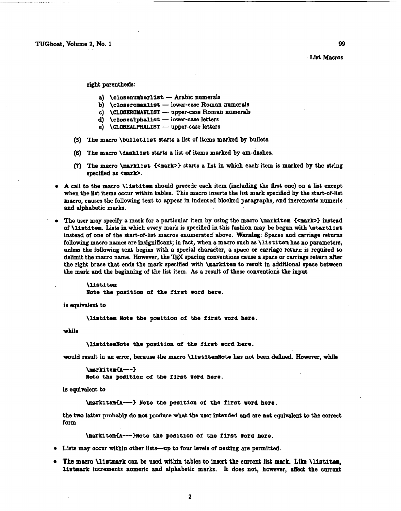TUGboat, Volume 2, No. 1 99

List Macros

right parenthesis:

- a) *\closenumberlist* Arabic numerals
- b) **\closeromanlist** lower-case Roman numerals
- a) **\closenumberlist** Arabic numerals<br>b) **\closeromanlist** lower-case Roman numerals<br>c) **\CLOSEROMANLIST** upper-case Roman numerals<br>d) \closee?lphelist lower-case letters
- d) **\closeromanlist** lower-case Roman<br>c) **\CLOSEROMANLIST** upper-case Roman<br>d) **\closealphalist** lower-case letters d) **\closealphalist** — lower-case letters<br>e) \CLOSEALPHALIST — upper-case letters
- 
- (5) The macro **\bulletlist** starts a list of items marked by bullets.
- (6) The macro **\dashlist** starts a list of items marked by em-dashes,
- (7) The macro **\marklfst icmark>3** starts a list in which each item is marked by the string specified as <mark>.</sub>
- A call to the macro **\listitem** should precede each item (including the **&st** one) on a list except when the list items occur within tables. **This** macro inserts the list mark specified **liy** the start-of-list macro, causes the following text to appear in indented blocked paragraphs, md increments numeric **and** alphabetic marks.
- The user **may** specify a mark for a particular item by using the macro **\markitem <<mark>>** instead of **\listitem.** Lists in which every mark is specifled in this fashion may be begun with **\startlist**  instead of one of the start-of-list macros enumerated above. Warning: Spaces and carriage returns following macro names are insignificant; in fact, when a macro such as **\listiten** has **no** parameters, unless the following text begins with a special character, a space or carriage return is required to delimit the macro name. However, the TFX spacing conventions cause a space or carriage return after the right brace that ends the mark specifled with **\markitem** to result in additional space between the mark and the beginning of the list item. As a result of these conventions the input

**\listitem** 

**Mote the position of the first word here.** 

is equivalent to

**\listitem Mote the position** of **the first word here.** 

while

**\listitemlIote the position of the first word here.** 

would result in **an** error, because the macro **\listitemMote** has not been defhed. However, while

**\markitemill---3 Hate the position of tho first word here.** 

is equivalent to

**\morkitemiA---3 Note the position** of **the first word here.** 

the two latter probably do **not** produce what the user intended and are not equivalent to the correct form

**\~srkitemill--->Note** the **position of the first mrd here.** 

- **<sup>0</sup>**Lists **may** occur within other lists-up to four levels of nesting are permitted.
- **<sup>a</sup>The macro \listmark can be uaed within tables to insert the current list mark. Like \li~tltem, listmark** increments numeric **and** alphabetic marks. It does not, however, dect the current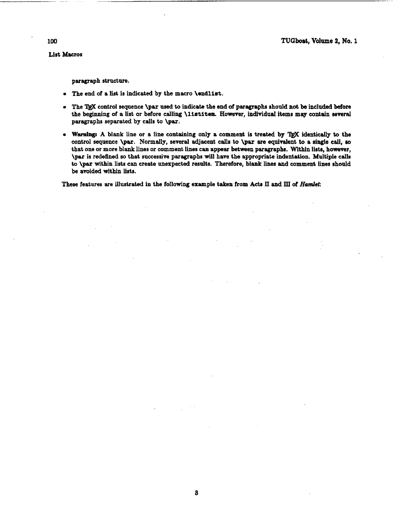paragraph structure.

- The end of a list is indicated by the macro **\endlie%.**
- The X@C control sequence **\par** used **to** indicate the end **of** paragraphs should **not** be **incIuded** before the **beginning** of a list or before calling **\lietitem. However,** individual items may contain **several**  paragraphs separated by calls to \par.
- **Wsmlngr** A **blank line** or a iine containing only a comment is treated by **QjX** identically to the control sequence **\par.** Normally, several adjacent calls to **\psr** are equivalent to a single **call, ao**  that one or more blank lines or comment lines can appear between paragraphs. Within lists, however, **\par** is redefined so that successive paragraphs **will** have the appropriate indentation. Multiple **calls**  to **\par** within lists **can** create unexpected results. Therefore, blank **lines** and comment lines should be avoided within lists.

These features are illustrated in the following example taken from Acts II and III of *Hamlet*: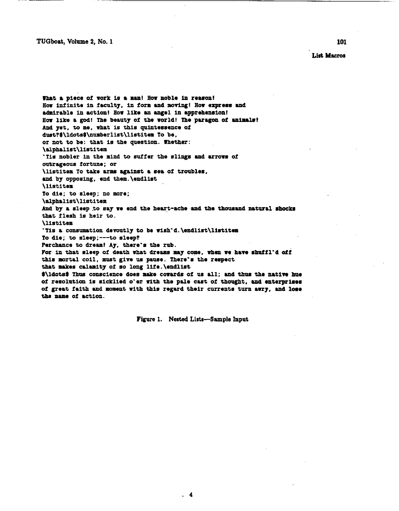**101** 

**rnrt a piece of work is a man! How noble in reason! How infinite in f dty. in form and** maria@! **How express and admirable in action! How like an angel in apprehension!** How like a god! The beauty of the world! The paragon of animals! **And yet. to me, what is this quintessence of duet?\$\ldots\$\n~berlist\listitea To be, or not to be: that is the question. Whetber: \alpEalist\listitem 'Tis nobler in the mind to suffer the slings and arms of oatrqeous fortune; or \listitem To take arms against a sea of troubles. and by opposing. end them.\endlist \listitem To die; to sleep; no mare; \alphalist\listitem And by a sleep .to say we end the heart-ache and the thousand natural shock6 that flesh is heir to. \listitem 'Tis a consumation devoutly to be wish'd.\endlist\listitem To die; to aleup;---to sleep? Perchance to dream! Ay, there's the rub.**  For in that sleep of death what dreams may come, when we have shuffl'd off **this mortal coil, must give ua pause. There's the respect that makes calamity of so long llfo.\endllst \$\ldots\$ Thus conscience does make corards of us all; and thus the artin hue of resolution is sicklied o'ez with the pale cast 0% mougbt, md enterpri8em of great faith and moment with tbis regard their currents turn awry, md 108.**  the name of action.

**Figure I. Nested Lists-Sample Input**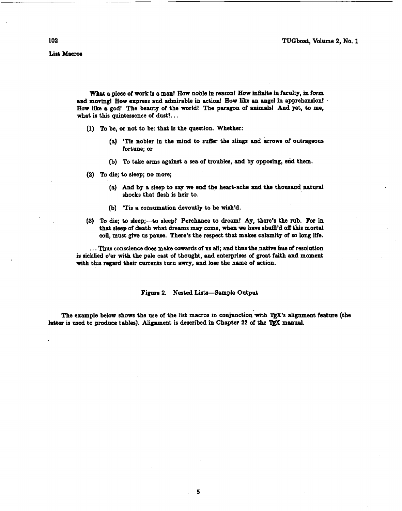What a piece of work is a man! How noble in reason! How **inhite** in faculty, in form **and** moving! How express and admirable in action! **How** like an angel in apprehension! **How** like 8 **god!** The beauty of the world! The paragon of animals! **And** yet, to me, what is this quintessence of dust?...

- (1) To be, or not to **be.** that is the question. Whether:
	- **(a)** 'Tis nobler in the mind to suffer the slings and arrows of outrageous fortune; or
	- (b) To take arms against a sea of troubles, and by opposing, **ed** them.
- (2) To die; to sleep; no more;
	- (a) And by a sleep to say we end the heart-ache and the thousand natural shocks that flesh is heir to.
	- (b) 'Tis a consumation devoutly to be wish'd.
- **(3)** To die; to sleep;-to sleep? Perchance to dream! **Ay,** there's the rub. **For** in that sleep of death what dreams may come, when we have shuffi'd off this mortal coil, must **give** us pause. There's the respect that makes calamity of so long life.

. . . Thus conscience does make cowards of us all; **and** thus the native hue of resolution is sicklied o'er with the pale cast of thought, and enterprises of great faith and moment with this regard their currents turn awry, **and** lose the name of action.

#### Figure 2. Nested Lists-Sample Output

The example below shows the use of the list macros in conjunction with TEX's alignment feature (the latter is used to produce tables). Alignment is described in Chapter 22 of the TFX manual.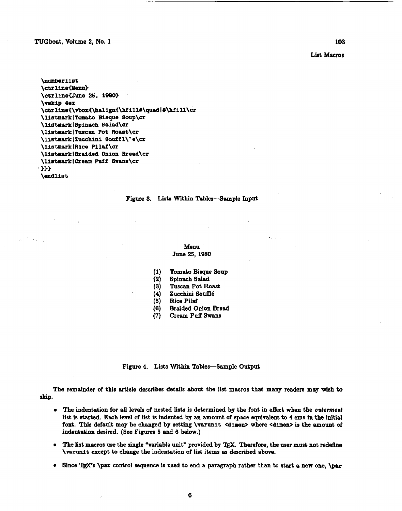TUGboat, Volume 2, No. 1

**102** 

## **List Macros**

```
\numberlist 
\ctrline{Menu}
 \ctr 1lneCJune 25. 1980) 
\=kip 4ex 
\ctr line{\vbox{\hslign{\hfill#\quad |#\hfill\cr
\listmark|Tomato Bisque Soup\cr
\listmark|Spinach Salad\cr
\listmark|Tuscan Pot Roast\cr
\listmark (Zucchini Souif l\' e\cr 
 \listmarklRice Pilaf\cr 
\lisWklBraided Onion Bread\cr 
\listmark l Cream Puff Bwans\cr 
* )33
```
### \endlist

## Figure 3. Lists Within Tables-Sample Input

## Menu June 25, 3980

a sa P

- (1) Tomato Bisque Soup
- **(2)** Spinach Sdad
- (3) Tuscan Pot Roast
- (4) Zucchini Soufflé<br>(5) Rice Pilaf
- (5) Rice Pilaf
- (6) Braided Onion Bread
- Cream Puff Swans

Fignre 4. Lists Within Tables-Sample Output

The remainder of this article describes details about the list macros that **many** readers **may** wish **to skip.** 

- The indentation for **all** levels of nested lists is determined by the font in effect when the **outermart list is started. Each lave1** of **list** is indented **by** an amount of space equivalent to 4 ems in **the** initial font. This default **may** be changed by setting \varunit <dimen> where <dimen> is the amount of indentation desired. **(See** Figures 5 and 6 below.)
- The list macros use the single "variable unit" provided by T<sub>R</sub>X. Therefore, the user must not redefine **\ramit** except to change the indentation of list items as described above.
- **0** Since TEX's **\par** control sequence is used to end a paragraph rather than to start a new one, **\par**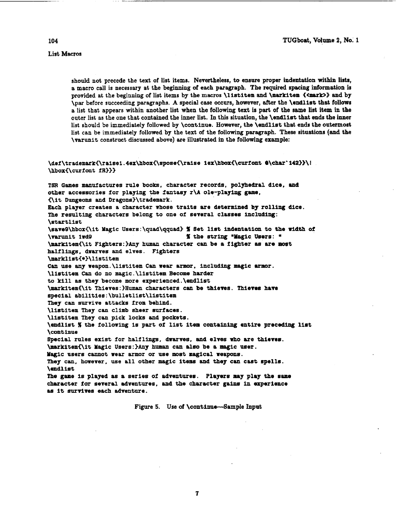**should not precede the text of list items. Nevertheless, to ensure proper indentation within lists, a macro call is necessary at the beginning of each paragraph. The required spacing information is provided at the beginning of list items by the macros \listitem and \markiten <<mark>> and by \par before succeeding paragraphs.** A special case occurs, however, after the **\endlist** that follows **a list that appears within another list when the following text is part of the same list item in the outer list as the one that contained the inner list. In this situation, the \endlist that ends the inner list should be immediately followed by \continue. However, the \endlist that ends the outetrnort list can be immediately followed by the text of the following paragraph. These situations (and the \varunit construct discussed above) are illustrated in the following example:** 

\def\trademark{\raise1.4ex\hbox{\spose{\raise iex\hbox{\curfont @\char'142}}\! **\hboxC\curf ont fR>>> TSR Games manufactures rule books. character records, polyhedral dice, and**  other accessories for playing the fantasy r\A ole-playing game, **(\it Dungeons and Dragons3\trademark. Each player creates a character whose traits are determined by rolling dice. The resulting characters belong to one of several classes Including: \startlist \saveQ\hboxi\it Magic Users:\quad\qquad> X Set list indentation to the ridth of X** the string "Magic Users: " **\merkitemi\it F1ghters:)Any human character can be a fighter as ate aost halflings, dwarves and elves. Fighters \marklisti\*3\listitem Can use any weapon.\listitem Can wear armor. includhg magic armor. \listitem Can do no magic.\listitem Become harder to kill as they become more experienced.\andlist \iosrkitemi\it Thieves:>Human characters can be thieves. Thieves have special abilitles:\bulletlist\listitem They can survive attacks from behind. \listitem They can climb sheer surfaces. \listitem They can pick locks and pockets. \endlist X the following is part of list item containing entire preceding list \continue Special rules exist for halflings, dwarves, and elves who are tihievss. \markitem<\it Magic Users :>Any** human **can also be a magic user. Magic users cannot wear armor or use** *most* **magical weapons.**  They can, however, use all other magic items and they can cast spells. **\endlist The game is played as a series of adventures. Players may play the same character for several adventures, and the character gaias in experience as it sutrlves each adventure.** 

**Figure 5. Use of \continue-Sample Input**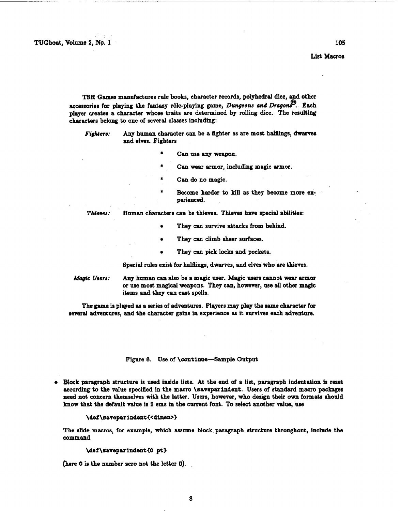**TSR** Games manufactures rule books, character records, polyhedral dice, **and** other accessories for playing the fantasy rôle-playing game, *Dungeons and Dragons*. Each player creates a character whose traits are determined by rolling dice. The resulting charaders belong to one of several classes including:

*Fighters:* Any human character can be a fighter as are most halflings, dwarves and elves. Fighters

- Can use any weapon.
- Can wear armor, including magic armor.
- Can do no magic.
- Become harder to kill as they become more experienced.

*Thieves:* Human cliaracters can be thieves. Thieves have special abilities:

- They can survive attacks from behind.
- They can climb sheer surfaces.
- They can pick locks and pockets.

Specid rules exist for balfinga, dwarves, **and** elves **who** are thieves.

*Magic Users:* Any human can also be a magic user. Magic users cannot wear armor or use most magical weapons. They can, however, use all other magic items and they can cast spells.

The game **is** played **as** a series of adventures. Players may play the same character for several adventures, and the character gains in experience as it survives each adventure.

#### Figure **6.** Use of \continue-Sample Output

**Block** paragraph structure is used inside lists. At the end of a list, paragraph indentation is reset according to the value speciiied in the macro **\saveparindent.** Users of standard macro packages need **not** concern themselves with the latter. Users, however, who design their own formats should know that the default value is 2 ems in the current font. To select another value, use

### **\def \savepar** indent **€<dimen>>**

The slide macros, for example, which assume block.paragraph structure throughout, include the command

## \def\saveparindent{0 pt}

(here 0 is the number zero not the letter 0).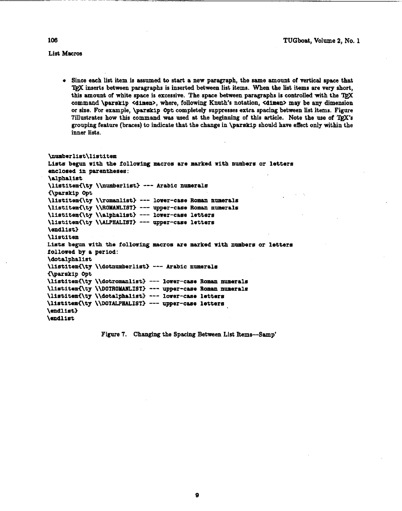**0 Since each Iist item is assumed to start a new paragraph, the same amount of vertical npace that QjX inserts between paragraphs is inserted between list items. When the list items are** *very* **short, this amount of white space is excessive. The space between paragraphs is controlled with the command \p&rskip <dimen>, where, folhing Knuth's notation, <dimen> may be any dimension or size. For example, \parskip Opt completely suppresses extra spacing between list items. Figure 7iIlustrates how this command was used at the beginning of this article. Note the use of l)jX's grouping feature (braces) to indicate that the change in \parskip should have eftect only within the inner lists.** 

```
bumberlist\listitem 
Lists begun with the follouing macros are marked with numbers or letters 
eaclosed In parentheses: 
\alphalist 
\listitem{\ty \\numberlist} --- Arabic numerals
€\parakip Opt 
\listitemi\ty \\romanlist3 --- lower-case Roman numerals 
\listltomi\ty \\ROYANLIST> --- upper-case Roman numerals 
\listitemi\ty \\alphalist> --- lover-case letters 
\listitemi\ty \\ALPflALIST> --- upper-case letters 
\endlist3 
\listitem 
Lists begun with the following macros are marked with numbers or letters 
followed by a period: 
\dotalphalist 
\listitemi\ty \\dotnumberlist> --- Arabic numeral8 
(\parskip Opt 
\listitem€\ty \\dotromsrrlist) --- loner-case Roman numerals 
\listitem(\ty \\DOTRO~18T> --- upper-case Romsn numerals 
\listitem€\ty \\dotalphalist) --- lower-case letters 
\listltem€\ty \\DOTALPHALIST> --- upper-case letters 
\enalist3 
\endlist
```
**Figure 7. Changing the Spacing Between List Items-Samp'**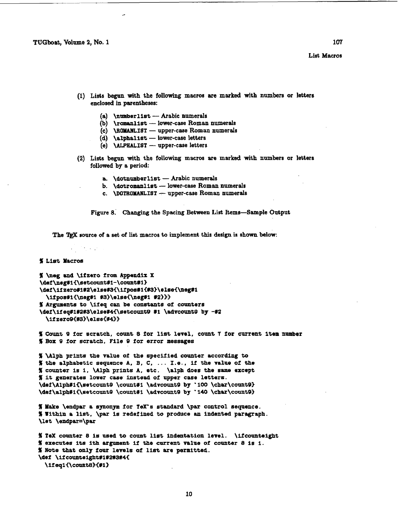**TUGboat, Volume 2, No. 1 107** 

#### **List Macros**

- **(I) Lists begun with the foIlowing macros are marked with numbers or letters enclosed in parentheses:** 
	- **(a) \numberlist Arabic numerals**
	- **(b) \romanlist lower-case Roman numerals**
	- (a) **\numberlist** -- Arabic numerals<br>
	(b) **\romanlist** -- lower-case Roman numerals<br>
	(c) **\ROMANLIST** -- upper-case Roman numerals<br>  $\begin{bmatrix} 1 & 1 \\ 2 & 3 \end{bmatrix}$ (b) **\romanlist** -- lower-case Roman<br>
	(c) **\ROMANLIST** -- upper-case Roman<br>
	(d) **\alphalist** -- lower-case letters **(c) \ROMANLIST** — upper-case Roman<br> **(d) \alphalist** — lower-case letters<br> **(e) \ALPHALIST** — upper-case letters
	-
	-
- **(2) Lists begnn with the following macros are marked with numbers or letters followed by a period:** 
	- **a. \dotnumberlist Arabic numerals**
	- **b. \dotromanlist lower-case Roman numerals**
	- **c. \DO?ROYANLIST upper-case Roman numerals**

**Figure 8. Changing the Spacing Between List Items-Sample Output** 

**The source of a set of** liet **macros to implement this design is shawn below:** 

#### % **List Macros**

```
% \neg and \ifzero from Appendix X 
\def\neg#li\setcount#i-\count#l3 
\def\ifzero#1#2\else#3{\1fpos#1{#3}\else{\neg#1
 \ifpos#1{\neg#1 #3}\else{\neg#1 #2}}}
% Arguments to \iZeq can be constants of counters 
\def\lfeq#l#2~\else#4i\setcounts #l \advcountQ by -#2 
 \ifzero9{#3}\else{#4}}
```
% **CoUpt 9 for scratch, count 0 for list level, count 7 for current item nuaber**  % **Box 9 for scratch. File 9 for error messages** 

% **\Alph prints the vslue of the specified counter according to**  % **the alphabetic sequence A, B, C,** . . . **1.8.. if the value of the**  % **Counter is 1, \ALph prints A, etc. \alp& does the same except**  % **it generates lover case.instead of upper case letters. \def \Alph#li\aetcountQ \count#l \advcount9 by** ' **100 \char\count93**  \def\alph#i{\setcount9 \count#1 \advcount9 by '140 \char\count9}

```
%Hake \endpar a synonym for TeX's standard \paz control sequence. 
%Within a list, \par is redefined to produce an indented paragraph. 
\let \endpar=\par
```

```
% TeX counter 8 is used to count list indentation level. \ifcounteight 
% executes its ith argument if the current vslue of counter 8 is i. 
% Note that only four levels of list are permitted. 
\eel \iicounteight#l#2#3#4i 
 \ifeq1{\count8}{#1}
```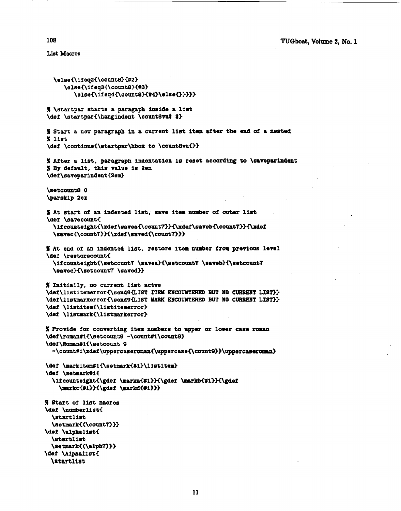**108** 

```
\else{\ifeq2{\count8}{#2}
      \else{\ifeq3{\count8}{#3}
         \else{\ifeq4{\count8}{#4}\else{}}}}}
I \startpar starts a paragaph inside a llst 
\def \startparC\hangindent \countBva$ 8) 
% Start a new paragraph in a current list item after the end of a nested 
% llst 
\def \contlnue€\startpar\hbox to \count8rui)> 
 IST IS AFTER IN A FIRE AFTER IN A FIRE ASSESSMENT IS A LIST.<br>I After a list, paragraph indentation is reset according to \saveparindent
 I After a list, paragraph indent<br>X By default, this value is 2em<br>\def\cavenarindent{2em}
\def \saveparlndenti2em) 
\setcount8 0
I At start of an indented list, save item number of outer list 
\def \savecount{
  \ifcounteight{\xdef\savea{\count7}}{\xdef\saveb{\count7}}{\xdef
  \savec{\count7}}{\xdef\saved{\count7}}}
% At end of an indented list, restore item number front previous level 
\def \restorecount< 
  \ifcounteight{\setcount7 \savea}{\setcount7 \saveb}{\setcount7
  \savec3i\setcountT \saved>3 
% Initially, no current list actre 
\def\listitemerror{\send9{LIST ITEM ENCOUNTERED BUT NO CURRENT LIST}}
\def\lietmarkerrori\sad9UIBT HARK EI?COUIIITWED BUT 190 CUWIEMT LIST33 
\def \listitemi\listitemerror> 
\def \listmarki\listmarkerror> 
% Provide for converting item numbers to upper or lower came roman 
\def\roman#1{\setcount9 -\count#1\count9}
\def\Romsn#li\eetcouat 9 
  -\count#i\xdef\uppercaseroman{\uppercase{\count9}}\uppercaseroman}
\def \markitem#i{\setmark{#1}\listitem}
\def \setmark#1{
  \ifcounteight{\gdef \marka{#1}}{\gdef \markb{#i}}{\gdef
\markc{#1}}{\gdef \markd{#1}}}<br>$ Start of list macros
\def \namberlisti 
  \startlist 
  \setmark< (\count?) >3 
\def \alphalist< 
  \startlist 
  \selanark€ (\alph'f) 33 
\def Wphslisti 
 \atartlist
```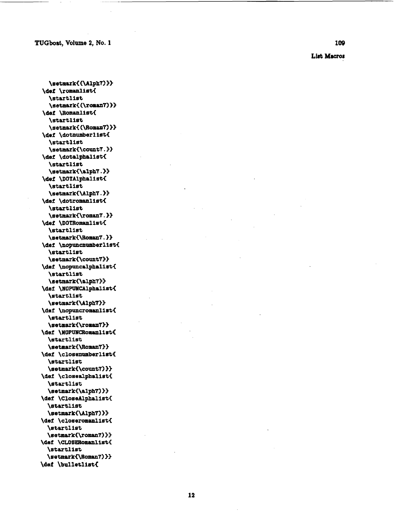**TUGboat, Volume 2, No. 1** 

109

List Macros

**\setmark€ (\Alph'f) 3) \def \romo~listi \startlist \setmark< (\romsn7) 3)**  \def \Romanlist{ **\startlist \setm8rki (\Roman?) 33 \def \dotnumberlist€ \startlist \setmark<\count7.3) \def \dotalphallst< \startlist \setmsrli\alph'T. >3 \def \DOTAlpbalisti \startlist**  \setmark{\Alph7.}} \def \dotromanlist{ **\startlist**  \setmark{\roman7.}} **\def \DOTRomanlist{ \startlist**  \setmark{\Roman7.}} \def \nopuncnumberlist{ **\startlist \setmark<\countr>>**  \def \nopuncalphalist{  **tart list \setmark<\alph73>**  \def \NOPUNCAlphalist{ **\startlist**  \setmark{\Alph7}} \def \nopuncromanlist{ **\startlint \setmarki\roman7>>**  \def \NOPUNCRomanlist{ **\startlist \setmarki\Ronsn733 \def \closenumberList< \ntartlist \setmark<\count7)** >> \def \closealphalist{ **\startlist \setm8lk<\alph7)>3**  \def \CloseAlphalist{ **\startlist \setmark<\Alph'f)** >> **\def \cloaerormanlist€ \startlist \setlpark€\roman7) 3)**  \def \CLOSERomanlist{ **\startlist \Setmarl<\Romarr'f) 3) \dei \bulletlist{**